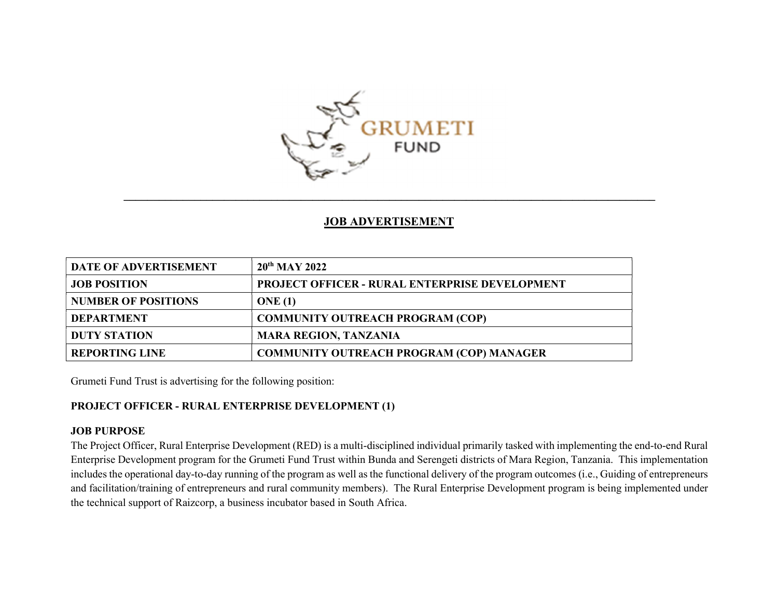

### JOB ADVERTISEMENT

 $\mathcal{L}_\mathcal{L} = \mathcal{L}_\mathcal{L} = \mathcal{L}_\mathcal{L} = \mathcal{L}_\mathcal{L} = \mathcal{L}_\mathcal{L} = \mathcal{L}_\mathcal{L} = \mathcal{L}_\mathcal{L} = \mathcal{L}_\mathcal{L} = \mathcal{L}_\mathcal{L} = \mathcal{L}_\mathcal{L} = \mathcal{L}_\mathcal{L} = \mathcal{L}_\mathcal{L} = \mathcal{L}_\mathcal{L} = \mathcal{L}_\mathcal{L} = \mathcal{L}_\mathcal{L} = \mathcal{L}_\mathcal{L} = \mathcal{L}_\mathcal{L}$ 

| <b>DATE OF ADVERTISEMENT</b> | $20^{th}$ MAY 2022                                    |
|------------------------------|-------------------------------------------------------|
| <b>JOB POSITION</b>          | <b>PROJECT OFFICER - RURAL ENTERPRISE DEVELOPMENT</b> |
| <b>NUMBER OF POSITIONS</b>   | ONE(1)                                                |
| <b>DEPARTMENT</b>            | <b>COMMUNITY OUTREACH PROGRAM (COP)</b>               |
| <b>DUTY STATION</b>          | <b>MARA REGION, TANZANIA</b>                          |
| <b>REPORTING LINE</b>        | <b>COMMUNITY OUTREACH PROGRAM (COP) MANAGER</b>       |

Grumeti Fund Trust is advertising for the following position:

### PROJECT OFFICER - RURAL ENTERPRISE DEVELOPMENT (1)

### JOB PURPOSE

The Project Officer, Rural Enterprise Development (RED) is a multi-disciplined individual primarily tasked with implementing the end-to-end Rural Enterprise Development program for the Grumeti Fund Trust within Bunda and Serengeti districts of Mara Region, Tanzania. This implementation includes the operational day-to-day running of the program as well as the functional delivery of the program outcomes (i.e., Guiding of entrepreneurs and facilitation/training of entrepreneurs and rural community members). The Rural Enterprise Development program is being implemented under the technical support of Raizcorp, a business incubator based in South Africa.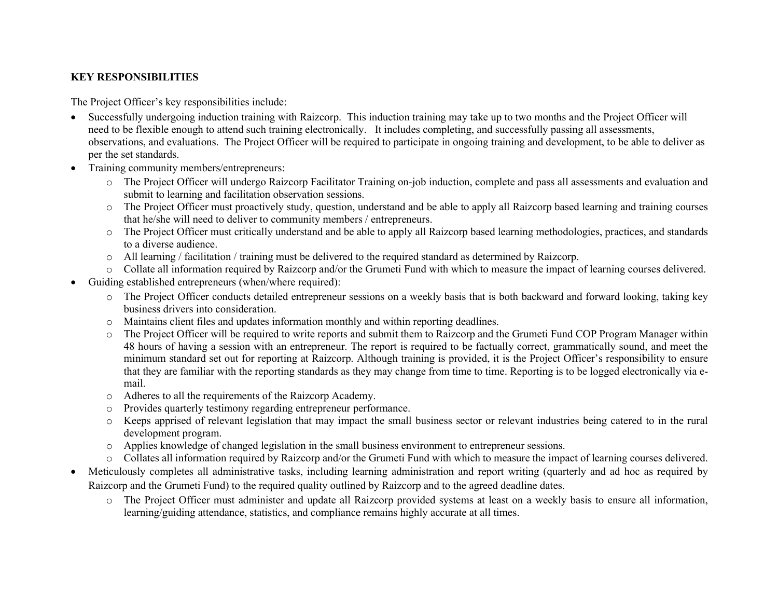### KEY RESPONSIBILITIES

The Project Officer's key responsibilities include:

- Successfully undergoing induction training with Raizcorp. This induction training may take up to two months and the Project Officer will need to be flexible enough to attend such training electronically. It includes completing, and successfully passing all assessments, observations, and evaluations. The Project Officer will be required to participate in ongoing training and development, to be able to deliver as per the set standards.
- Training community members/entrepreneurs:
	- o The Project Officer will undergo Raizcorp Facilitator Training on-job induction, complete and pass all assessments and evaluation and submit to learning and facilitation observation sessions.
	- o The Project Officer must proactively study, question, understand and be able to apply all Raizcorp based learning and training courses that he/she will need to deliver to community members / entrepreneurs.
	- o The Project Officer must critically understand and be able to apply all Raizcorp based learning methodologies, practices, and standards to a diverse audience.
	- o All learning / facilitation / training must be delivered to the required standard as determined by Raizcorp.
	- o Collate all information required by Raizcorp and/or the Grumeti Fund with which to measure the impact of learning courses delivered.
- Guiding established entrepreneurs (when/where required):
	- o The Project Officer conducts detailed entrepreneur sessions on a weekly basis that is both backward and forward looking, taking key business drivers into consideration.
	- o Maintains client files and updates information monthly and within reporting deadlines.
	- The Project Officer will be required to write reports and submit them to Raizcorp and the Grumeti Fund COP Program Manager within 48 hours of having a session with an entrepreneur. The report is required to be factually correct, grammatically sound, and meet the minimum standard set out for reporting at Raizcorp. Although training is provided, it is the Project Officer's responsibility to ensure that they are familiar with the reporting standards as they may change from time to time. Reporting is to be logged electronically via email.
	- o Adheres to all the requirements of the Raizcorp Academy.
	- o Provides quarterly testimony regarding entrepreneur performance.
	- o Keeps apprised of relevant legislation that may impact the small business sector or relevant industries being catered to in the rural development program.
	- o Applies knowledge of changed legislation in the small business environment to entrepreneur sessions.
	- o Collates all information required by Raizcorp and/or the Grumeti Fund with which to measure the impact of learning courses delivered.
- Meticulously completes all administrative tasks, including learning administration and report writing (quarterly and ad hoc as required by Raizcorp and the Grumeti Fund) to the required quality outlined by Raizcorp and to the agreed deadline dates.
	- o The Project Officer must administer and update all Raizcorp provided systems at least on a weekly basis to ensure all information, learning/guiding attendance, statistics, and compliance remains highly accurate at all times.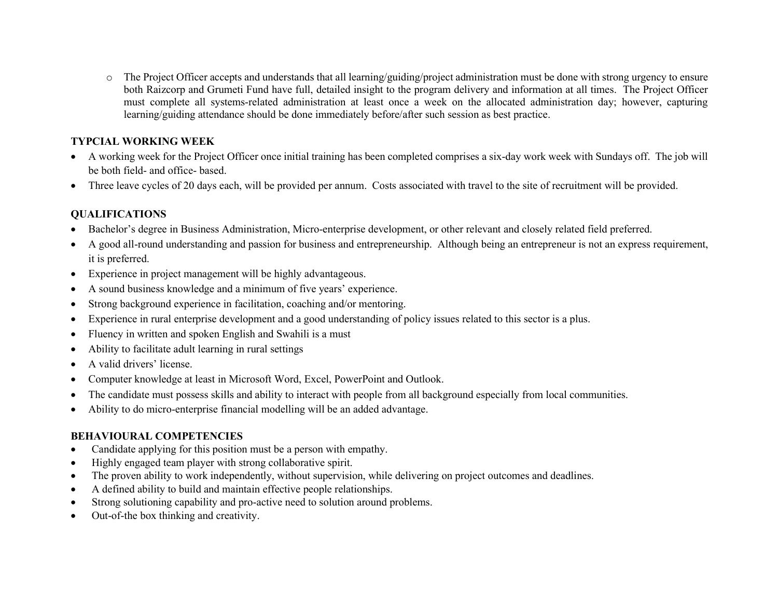o The Project Officer accepts and understands that all learning/guiding/project administration must be done with strong urgency to ensure both Raizcorp and Grumeti Fund have full, detailed insight to the program delivery and information at all times. The Project Officer must complete all systems-related administration at least once a week on the allocated administration day; however, capturing learning/guiding attendance should be done immediately before/after such session as best practice.

# TYPCIAL WORKING WEEK

- A working week for the Project Officer once initial training has been completed comprises a six-day work week with Sundays off. The job will be both field- and office- based.
- Three leave cycles of 20 days each, will be provided per annum. Costs associated with travel to the site of recruitment will be provided.

# QUALIFICATIONS

- Bachelor's degree in Business Administration, Micro-enterprise development, or other relevant and closely related field preferred.
- A good all-round understanding and passion for business and entrepreneurship. Although being an entrepreneur is not an express requirement, it is preferred.
- Experience in project management will be highly advantageous.
- A sound business knowledge and a minimum of five years' experience.
- Strong background experience in facilitation, coaching and/or mentoring.
- Experience in rural enterprise development and a good understanding of policy issues related to this sector is a plus.
- Fluency in written and spoken English and Swahili is a must
- Ability to facilitate adult learning in rural settings
- A valid drivers' license.
- Computer knowledge at least in Microsoft Word, Excel, PowerPoint and Outlook.
- The candidate must possess skills and ability to interact with people from all background especially from local communities.
- Ability to do micro-enterprise financial modelling will be an added advantage.

# BEHAVIOURAL COMPETENCIES

- Candidate applying for this position must be a person with empathy.
- Highly engaged team player with strong collaborative spirit.
- The proven ability to work independently, without supervision, while delivering on project outcomes and deadlines.
- A defined ability to build and maintain effective people relationships.
- Strong solutioning capability and pro-active need to solution around problems.
- Out-of-the box thinking and creativity.